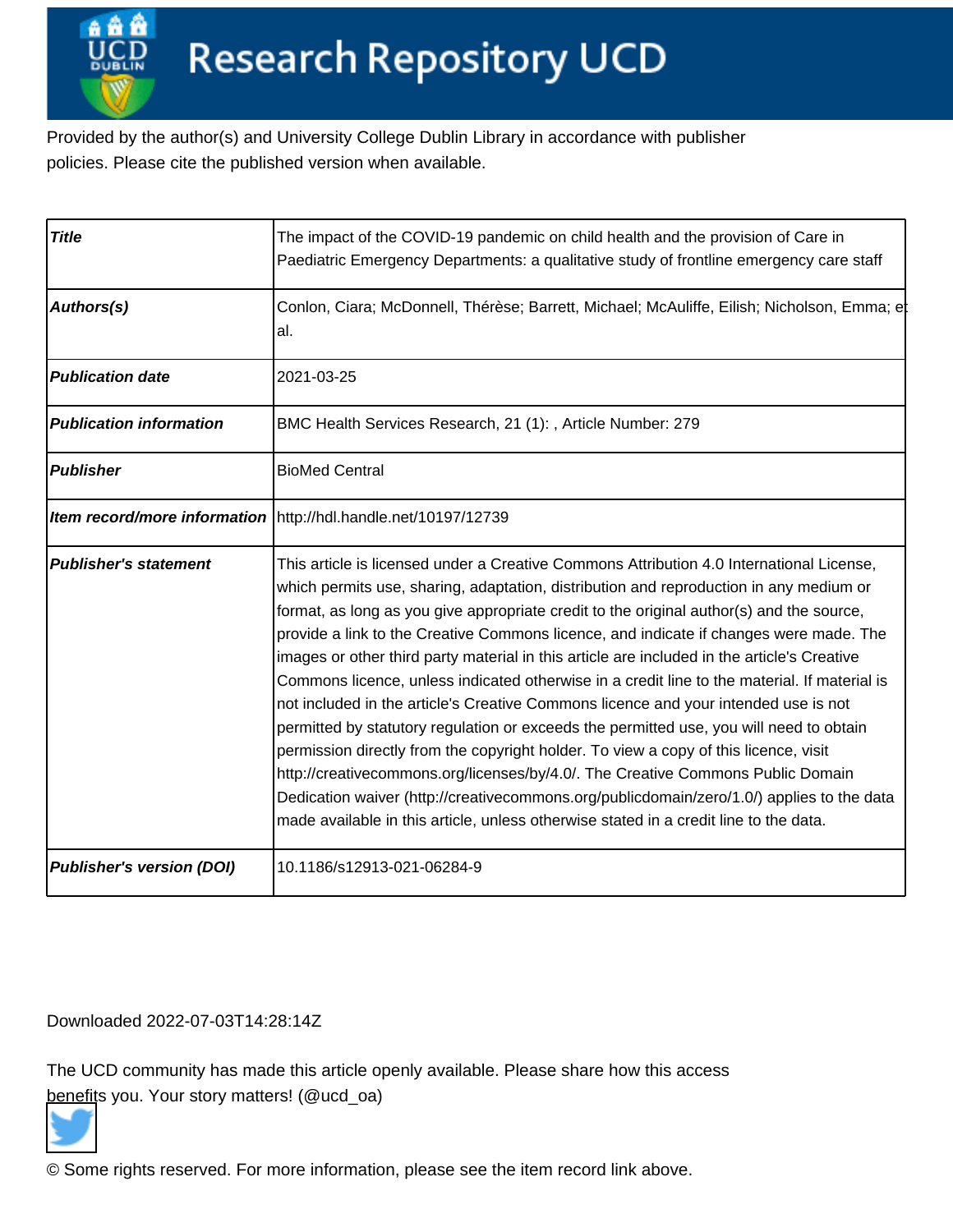Provided by the author(s) and University College Dublin Library in accordance with publisher policies. Please cite the published version when available.

| <b>Title</b>                     | The impact of the COVID-19 pandemic on child health and the provision of Care in<br>Paediatric Emergency Departments: a qualitative study of frontline emergency care staff                                                                                                                                                                                                                                                                                                                                                                                                                                                                                                                                                                                                                                                                                                                                                                                                                                                                                                                                                |
|----------------------------------|----------------------------------------------------------------------------------------------------------------------------------------------------------------------------------------------------------------------------------------------------------------------------------------------------------------------------------------------------------------------------------------------------------------------------------------------------------------------------------------------------------------------------------------------------------------------------------------------------------------------------------------------------------------------------------------------------------------------------------------------------------------------------------------------------------------------------------------------------------------------------------------------------------------------------------------------------------------------------------------------------------------------------------------------------------------------------------------------------------------------------|
| Authors(s)                       | Conlon, Ciara; McDonnell, Thérèse; Barrett, Michael; McAuliffe, Eilish; Nicholson, Emma; et<br>al.                                                                                                                                                                                                                                                                                                                                                                                                                                                                                                                                                                                                                                                                                                                                                                                                                                                                                                                                                                                                                         |
| <b>Publication date</b>          | 2021-03-25                                                                                                                                                                                                                                                                                                                                                                                                                                                                                                                                                                                                                                                                                                                                                                                                                                                                                                                                                                                                                                                                                                                 |
| <b>Publication information</b>   | BMC Health Services Research, 21 (1): , Article Number: 279                                                                                                                                                                                                                                                                                                                                                                                                                                                                                                                                                                                                                                                                                                                                                                                                                                                                                                                                                                                                                                                                |
| <b>Publisher</b>                 | <b>BioMed Central</b>                                                                                                                                                                                                                                                                                                                                                                                                                                                                                                                                                                                                                                                                                                                                                                                                                                                                                                                                                                                                                                                                                                      |
|                                  | Item record/more information   http://hdl.handle.net/10197/12739                                                                                                                                                                                                                                                                                                                                                                                                                                                                                                                                                                                                                                                                                                                                                                                                                                                                                                                                                                                                                                                           |
| <b>Publisher's statement</b>     | This article is licensed under a Creative Commons Attribution 4.0 International License,<br>which permits use, sharing, adaptation, distribution and reproduction in any medium or<br>format, as long as you give appropriate credit to the original author(s) and the source,<br>provide a link to the Creative Commons licence, and indicate if changes were made. The<br>images or other third party material in this article are included in the article's Creative<br>Commons licence, unless indicated otherwise in a credit line to the material. If material is<br>not included in the article's Creative Commons licence and your intended use is not<br>permitted by statutory regulation or exceeds the permitted use, you will need to obtain<br>permission directly from the copyright holder. To view a copy of this licence, visit<br>http://creativecommons.org/licenses/by/4.0/. The Creative Commons Public Domain<br>Dedication waiver (http://creativecommons.org/publicdomain/zero/1.0/) applies to the data<br>made available in this article, unless otherwise stated in a credit line to the data. |
| <b>Publisher's version (DOI)</b> | 10.1186/s12913-021-06284-9                                                                                                                                                                                                                                                                                                                                                                                                                                                                                                                                                                                                                                                                                                                                                                                                                                                                                                                                                                                                                                                                                                 |

# Downloaded 2022-07-03T14:28:14Z

The UCD community has made this article openly available. Please share how this access [benefit](https://twitter.com/intent/tweet?via=ucd_oa&text=DOI%3A10.1186%2Fs12913-021-06284-9&url=http%3A%2F%2Fhdl.handle.net%2F10197%2F12739)s you. Your story matters! (@ucd\_oa)



© Some rights reserved. For more information, please see the item record link above.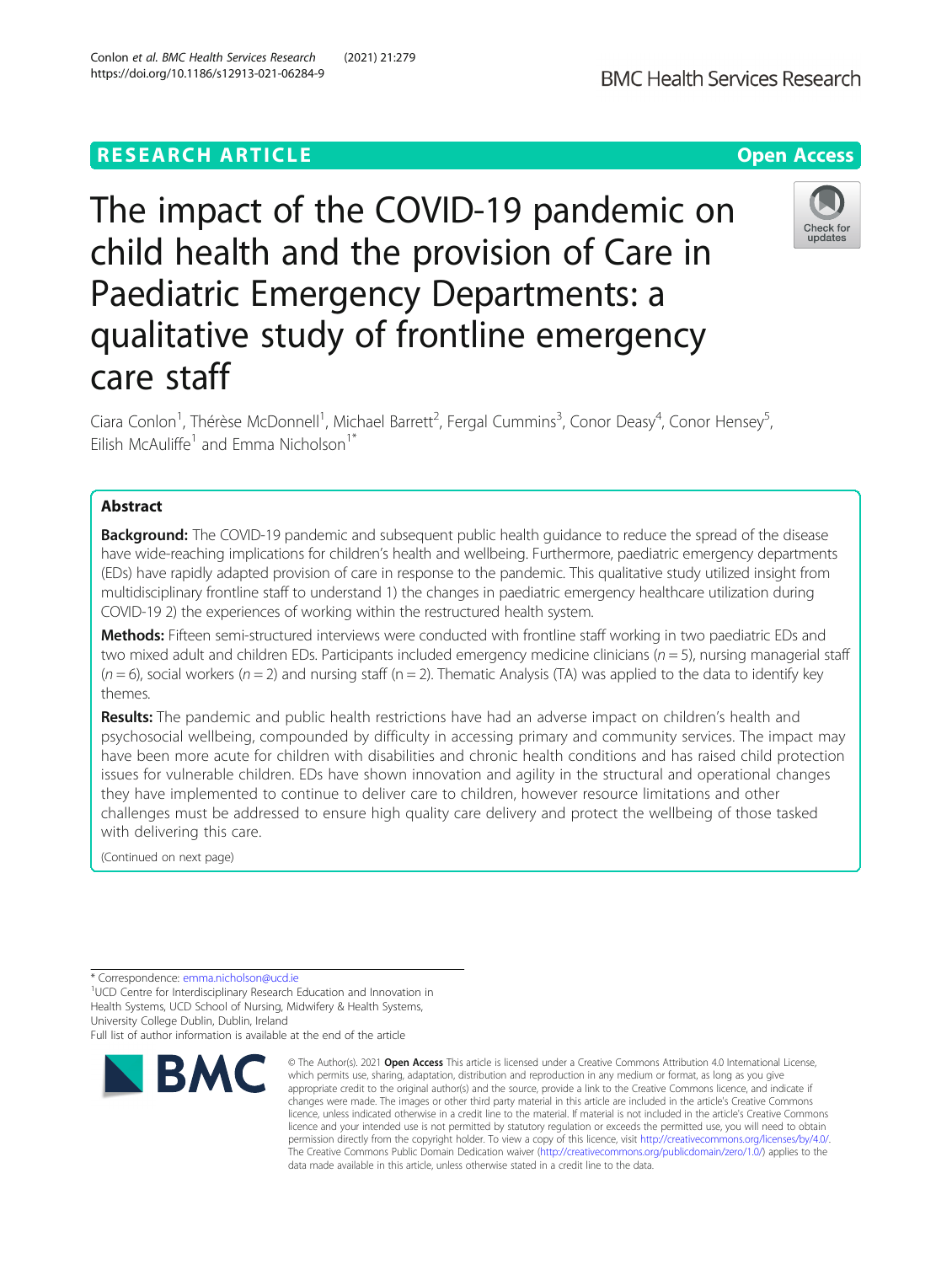# **RESEARCH ARTICLE Example 2014 12:30 The Contract of Contract ACCESS**

The impact of the COVID-19 pandemic on child health and the provision of Care in Paediatric Emergency Departments: a qualitative study of frontline emergency care staff

Ciara Conlon<sup>1</sup>, Thérèse McDonnell<sup>1</sup>, Michael Barrett<sup>2</sup>, Fergal Cummins<sup>3</sup>, Conor Deasy<sup>4</sup>, Conor Hensey<sup>5</sup> , Eilish McAuliffe<sup>1</sup> and Emma Nicholson<sup>1\*</sup>

# Abstract

**Background:** The COVID-19 pandemic and subsequent public health quidance to reduce the spread of the disease have wide-reaching implications for children's health and wellbeing. Furthermore, paediatric emergency departments (EDs) have rapidly adapted provision of care in response to the pandemic. This qualitative study utilized insight from multidisciplinary frontline staff to understand 1) the changes in paediatric emergency healthcare utilization during COVID-19 2) the experiences of working within the restructured health system.

Methods: Fifteen semi-structured interviews were conducted with frontline staff working in two paediatric EDs and two mixed adult and children EDs. Participants included emergency medicine clinicians ( $n = 5$ ), nursing managerial staff  $(n = 6)$ , social workers  $(n = 2)$  and nursing staff  $(n = 2)$ . Thematic Analysis (TA) was applied to the data to identify key themes.

Results: The pandemic and public health restrictions have had an adverse impact on children's health and psychosocial wellbeing, compounded by difficulty in accessing primary and community services. The impact may have been more acute for children with disabilities and chronic health conditions and has raised child protection issues for vulnerable children. EDs have shown innovation and agility in the structural and operational changes they have implemented to continue to deliver care to children, however resource limitations and other challenges must be addressed to ensure high quality care delivery and protect the wellbeing of those tasked with delivering this care.

(Continued on next page)

\* Correspondence: [emma.nicholson@ucd.ie](mailto:emma.nicholson@ucd.ie)<br><sup>1</sup>UCD Centre for Interdisciplinary Research Education and Innovation in Health Systems, UCD School of Nursing, Midwifery & Health Systems, University College Dublin, Dublin, Ireland

Full list of author information is available at the end of the article



© The Author(s), 2021 **Open Access** This article is licensed under a Creative Commons Attribution 4.0 International License,



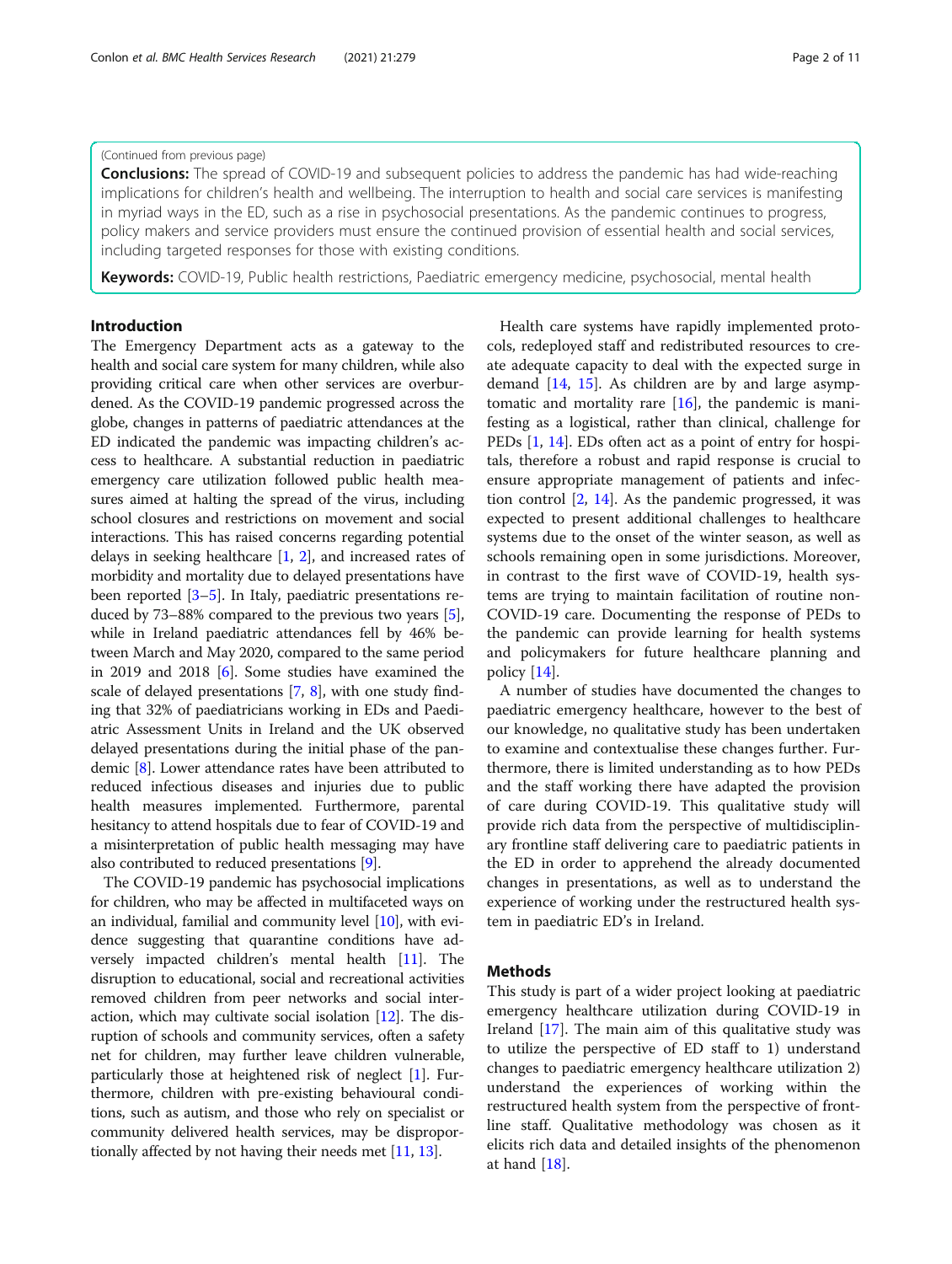### (Continued from previous page)

**Conclusions:** The spread of COVID-19 and subsequent policies to address the pandemic has had wide-reaching implications for children's health and wellbeing. The interruption to health and social care services is manifesting in myriad ways in the ED, such as a rise in psychosocial presentations. As the pandemic continues to progress, policy makers and service providers must ensure the continued provision of essential health and social services, including targeted responses for those with existing conditions.

Keywords: COVID-19, Public health restrictions, Paediatric emergency medicine, psychosocial, mental health

### Introduction

The Emergency Department acts as a gateway to the health and social care system for many children, while also providing critical care when other services are overburdened. As the COVID-19 pandemic progressed across the globe, changes in patterns of paediatric attendances at the ED indicated the pandemic was impacting children's access to healthcare. A substantial reduction in paediatric emergency care utilization followed public health measures aimed at halting the spread of the virus, including school closures and restrictions on movement and social interactions. This has raised concerns regarding potential delays in seeking healthcare [1, 2], and increased rates of morbidity and mortality due to delayed presentations have been reported [3–5]. In Italy, paediatric presentations reduced by 73–88% compared to the previous two years [5], while in Ireland paediatric attendances fell by 46% between March and May 2020, compared to the same period in 2019 and 2018 [6]. Some studies have examined the scale of delayed presentations [7, 8], with one study finding that 32% of paediatricians working in EDs and Paediatric Assessment Units in Ireland and the UK observed delayed presentations during the initial phase of the pandemic [8]. Lower attendance rates have been attributed to reduced infectious diseases and injuries due to public health measures implemented. Furthermore, parental hesitancy to attend hospitals due to fear of COVID-19 and a misinterpretation of public health messaging may have also contributed to reduced presentations [9].

The COVID-19 pandemic has psychosocial implications for children, who may be affected in multifaceted ways on an individual, familial and community level [10], with evidence suggesting that quarantine conditions have adversely impacted children's mental health [11]. The disruption to educational, social and recreational activities removed children from peer networks and social interaction, which may cultivate social isolation [12]. The disruption of schools and community services, often a safety net for children, may further leave children vulnerable, particularly those at heightened risk of neglect [1]. Furthermore, children with pre-existing behavioural conditions, such as autism, and those who rely on specialist or community delivered health services, may be disproportionally affected by not having their needs met [11, 13].

Health care systems have rapidly implemented protocols, redeployed staff and redistributed resources to create adequate capacity to deal with the expected surge in demand [14, 15]. As children are by and large asymptomatic and mortality rare  $[16]$ , the pandemic is manifesting as a logistical, rather than clinical, challenge for PEDs [1, 14]. EDs often act as a point of entry for hospitals, therefore a robust and rapid response is crucial to ensure appropriate management of patients and infection control [2, 14]. As the pandemic progressed, it was expected to present additional challenges to healthcare systems due to the onset of the winter season, as well as schools remaining open in some jurisdictions. Moreover, in contrast to the first wave of COVID-19, health systems are trying to maintain facilitation of routine non-COVID-19 care. Documenting the response of PEDs to the pandemic can provide learning for health systems and policymakers for future healthcare planning and policy [14].

A number of studies have documented the changes to paediatric emergency healthcare, however to the best of our knowledge, no qualitative study has been undertaken to examine and contextualise these changes further. Furthermore, there is limited understanding as to how PEDs and the staff working there have adapted the provision of care during COVID-19. This qualitative study will provide rich data from the perspective of multidisciplinary frontline staff delivering care to paediatric patients in the ED in order to apprehend the already documented changes in presentations, as well as to understand the experience of working under the restructured health system in paediatric ED's in Ireland.

#### Methods

This study is part of a wider project looking at paediatric emergency healthcare utilization during COVID-19 in Ireland [17]. The main aim of this qualitative study was to utilize the perspective of ED staff to 1) understand changes to paediatric emergency healthcare utilization 2) understand the experiences of working within the restructured health system from the perspective of frontline staff. Qualitative methodology was chosen as it elicits rich data and detailed insights of the phenomenon at hand [18].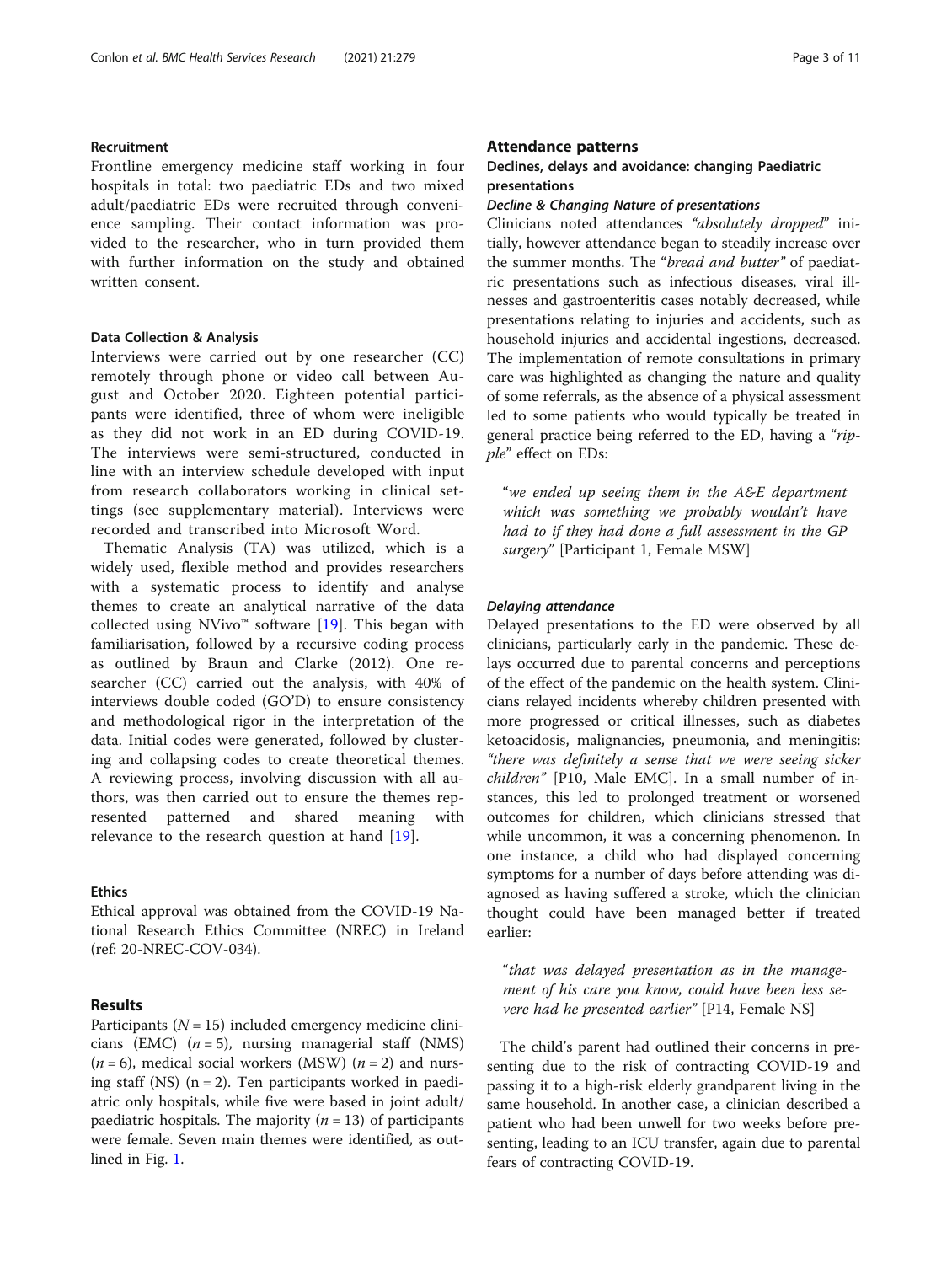### Recruitment

Frontline emergency medicine staff working in four hospitals in total: two paediatric EDs and two mixed adult/paediatric EDs were recruited through convenience sampling. Their contact information was provided to the researcher, who in turn provided them with further information on the study and obtained written consent.

### Data Collection & Analysis

Interviews were carried out by one researcher (CC) remotely through phone or video call between August and October 2020. Eighteen potential participants were identified, three of whom were ineligible as they did not work in an ED during COVID-19. The interviews were semi-structured, conducted in line with an interview schedule developed with input from research collaborators working in clinical settings (see supplementary material). Interviews were recorded and transcribed into Microsoft Word.

Thematic Analysis (TA) was utilized, which is a widely used, flexible method and provides researchers with a systematic process to identify and analyse themes to create an analytical narrative of the data collected using NVivo<sup>™</sup> software [19]. This began with familiarisation, followed by a recursive coding process as outlined by Braun and Clarke (2012). One researcher (CC) carried out the analysis, with 40% of interviews double coded (GO'D) to ensure consistency and methodological rigor in the interpretation of the data. Initial codes were generated, followed by clustering and collapsing codes to create theoretical themes. A reviewing process, involving discussion with all authors, was then carried out to ensure the themes represented patterned and shared meaning with relevance to the research question at hand [19].

### Ethics

Ethical approval was obtained from the COVID-19 National Research Ethics Committee (NREC) in Ireland (ref: 20-NREC-COV-034).

### Results

Participants ( $N = 15$ ) included emergency medicine clinicians (EMC)  $(n = 5)$ , nursing managerial staff (NMS)  $(n = 6)$ , medical social workers (MSW)  $(n = 2)$  and nursing staff  $(NS)$   $(n = 2)$ . Ten participants worked in paediatric only hospitals, while five were based in joint adult/ paediatric hospitals. The majority ( $n = 13$ ) of participants were female. Seven main themes were identified, as outlined in Fig. 1.

### Attendance patterns

# Declines, delays and avoidance: changing Paediatric presentations

### Decline & Changing Nature of presentations

Clinicians noted attendances "absolutely dropped" initially, however attendance began to steadily increase over the summer months. The "bread and butter" of paediatric presentations such as infectious diseases, viral illnesses and gastroenteritis cases notably decreased, while presentations relating to injuries and accidents, such as household injuries and accidental ingestions, decreased. The implementation of remote consultations in primary care was highlighted as changing the nature and quality of some referrals, as the absence of a physical assessment led to some patients who would typically be treated in general practice being referred to the ED, having a "ripple" effect on EDs:

"we ended up seeing them in the A&E department which was something we probably wouldn't have had to if they had done a full assessment in the GP surgery" [Participant 1, Female MSW]

### Delaying attendance

Delayed presentations to the ED were observed by all clinicians, particularly early in the pandemic. These delays occurred due to parental concerns and perceptions of the effect of the pandemic on the health system. Clinicians relayed incidents whereby children presented with more progressed or critical illnesses, such as diabetes ketoacidosis, malignancies, pneumonia, and meningitis: "there was definitely a sense that we were seeing sicker children" [P10, Male EMC]. In a small number of instances, this led to prolonged treatment or worsened outcomes for children, which clinicians stressed that while uncommon, it was a concerning phenomenon. In one instance, a child who had displayed concerning symptoms for a number of days before attending was diagnosed as having suffered a stroke, which the clinician thought could have been managed better if treated earlier:

"that was delayed presentation as in the management of his care you know, could have been less severe had he presented earlier" [P14, Female NS]

The child's parent had outlined their concerns in presenting due to the risk of contracting COVID-19 and passing it to a high-risk elderly grandparent living in the same household. In another case, a clinician described a patient who had been unwell for two weeks before presenting, leading to an ICU transfer, again due to parental fears of contracting COVID-19.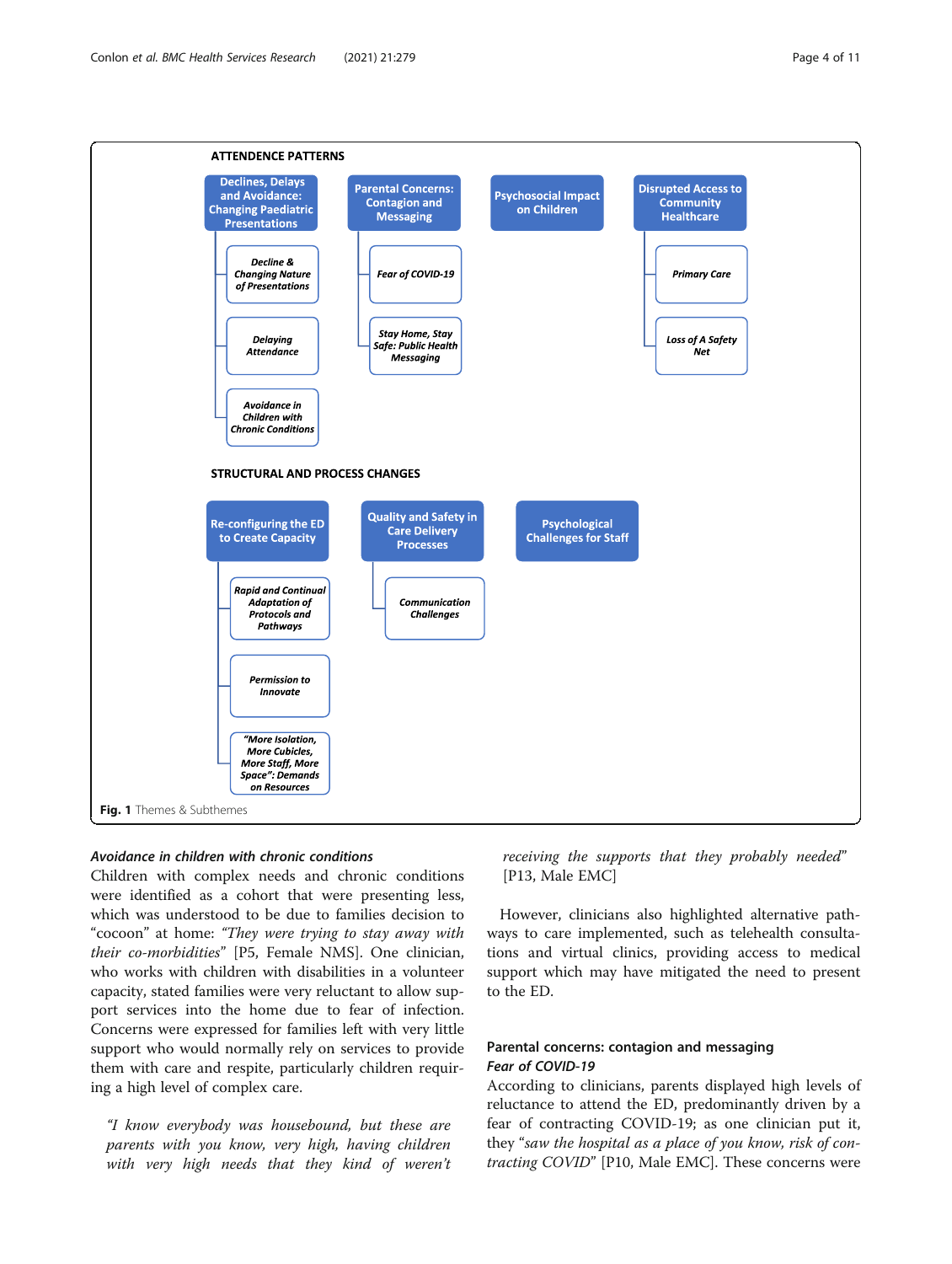

# Avoidance in children with chronic conditions

Children with complex needs and chronic conditions were identified as a cohort that were presenting less, which was understood to be due to families decision to "cocoon" at home: "They were trying to stay away with their co-morbidities" [P5, Female NMS]. One clinician, who works with children with disabilities in a volunteer capacity, stated families were very reluctant to allow support services into the home due to fear of infection. Concerns were expressed for families left with very little support who would normally rely on services to provide them with care and respite, particularly children requiring a high level of complex care.

"I know everybody was housebound, but these are parents with you know, very high, having children with very high needs that they kind of weren't

receiving the supports that they probably needed" [P13, Male EMC]

However, clinicians also highlighted alternative pathways to care implemented, such as telehealth consultations and virtual clinics, providing access to medical support which may have mitigated the need to present to the ED.

# Parental concerns: contagion and messaging Fear of COVID-19

According to clinicians, parents displayed high levels of reluctance to attend the ED, predominantly driven by a fear of contracting COVID-19; as one clinician put it, they "saw the hospital as a place of you know, risk of contracting COVID" [P10, Male EMC]. These concerns were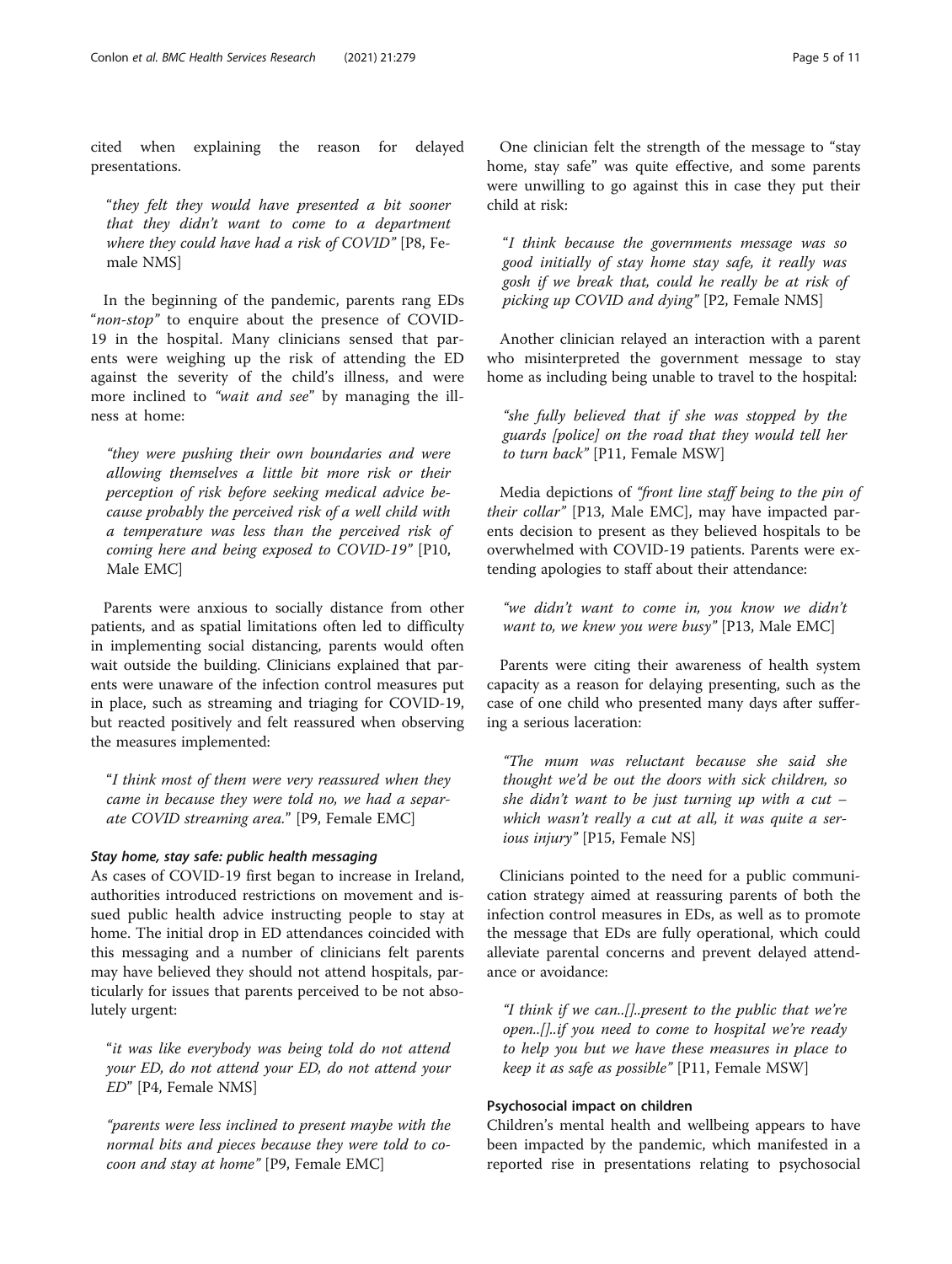cited when explaining the reason for delayed presentations.

"they felt they would have presented a bit sooner that they didn't want to come to a department where they could have had a risk of COVID" [P8, Female NMS]

In the beginning of the pandemic, parents rang EDs "non-stop" to enquire about the presence of COVID-19 in the hospital. Many clinicians sensed that parents were weighing up the risk of attending the ED against the severity of the child's illness, and were more inclined to "wait and see" by managing the illness at home:

"they were pushing their own boundaries and were allowing themselves a little bit more risk or their perception of risk before seeking medical advice because probably the perceived risk of a well child with a temperature was less than the perceived risk of coming here and being exposed to COVID-19" [P10, Male EMC]

Parents were anxious to socially distance from other patients, and as spatial limitations often led to difficulty in implementing social distancing, parents would often wait outside the building. Clinicians explained that parents were unaware of the infection control measures put in place, such as streaming and triaging for COVID-19, but reacted positively and felt reassured when observing the measures implemented:

"I think most of them were very reassured when they came in because they were told no, we had a separate COVID streaming area." [P9, Female EMC]

#### Stay home, stay safe: public health messaging

As cases of COVID-19 first began to increase in Ireland, authorities introduced restrictions on movement and issued public health advice instructing people to stay at home. The initial drop in ED attendances coincided with this messaging and a number of clinicians felt parents may have believed they should not attend hospitals, particularly for issues that parents perceived to be not absolutely urgent:

"it was like everybody was being told do not attend your ED, do not attend your ED, do not attend your ED" [P4, Female NMS]

"parents were less inclined to present maybe with the normal bits and pieces because they were told to cocoon and stay at home" [P9, Female EMC]

One clinician felt the strength of the message to "stay home, stay safe" was quite effective, and some parents were unwilling to go against this in case they put their child at risk:

"I think because the governments message was so good initially of stay home stay safe, it really was gosh if we break that, could he really be at risk of picking up COVID and dying" [P2, Female NMS]

Another clinician relayed an interaction with a parent who misinterpreted the government message to stay home as including being unable to travel to the hospital:

"she fully believed that if she was stopped by the guards [police] on the road that they would tell her to turn back" [P11, Female MSW]

Media depictions of "front line staff being to the pin of their collar" [P13, Male EMC], may have impacted parents decision to present as they believed hospitals to be overwhelmed with COVID-19 patients. Parents were extending apologies to staff about their attendance:

"we didn't want to come in, you know we didn't want to, we knew you were busy" [P13, Male EMC]

Parents were citing their awareness of health system capacity as a reason for delaying presenting, such as the case of one child who presented many days after suffering a serious laceration:

"The mum was reluctant because she said she thought we'd be out the doors with sick children, so she didn't want to be just turning up with a cut  $$ which wasn't really a cut at all, it was quite a serious injury" [P15, Female NS]

Clinicians pointed to the need for a public communication strategy aimed at reassuring parents of both the infection control measures in EDs, as well as to promote the message that EDs are fully operational, which could alleviate parental concerns and prevent delayed attendance or avoidance:

"I think if we can..[]..present to the public that we're open..[]..if you need to come to hospital we're ready to help you but we have these measures in place to keep it as safe as possible" [P11, Female MSW]

#### Psychosocial impact on children

Children's mental health and wellbeing appears to have been impacted by the pandemic, which manifested in a reported rise in presentations relating to psychosocial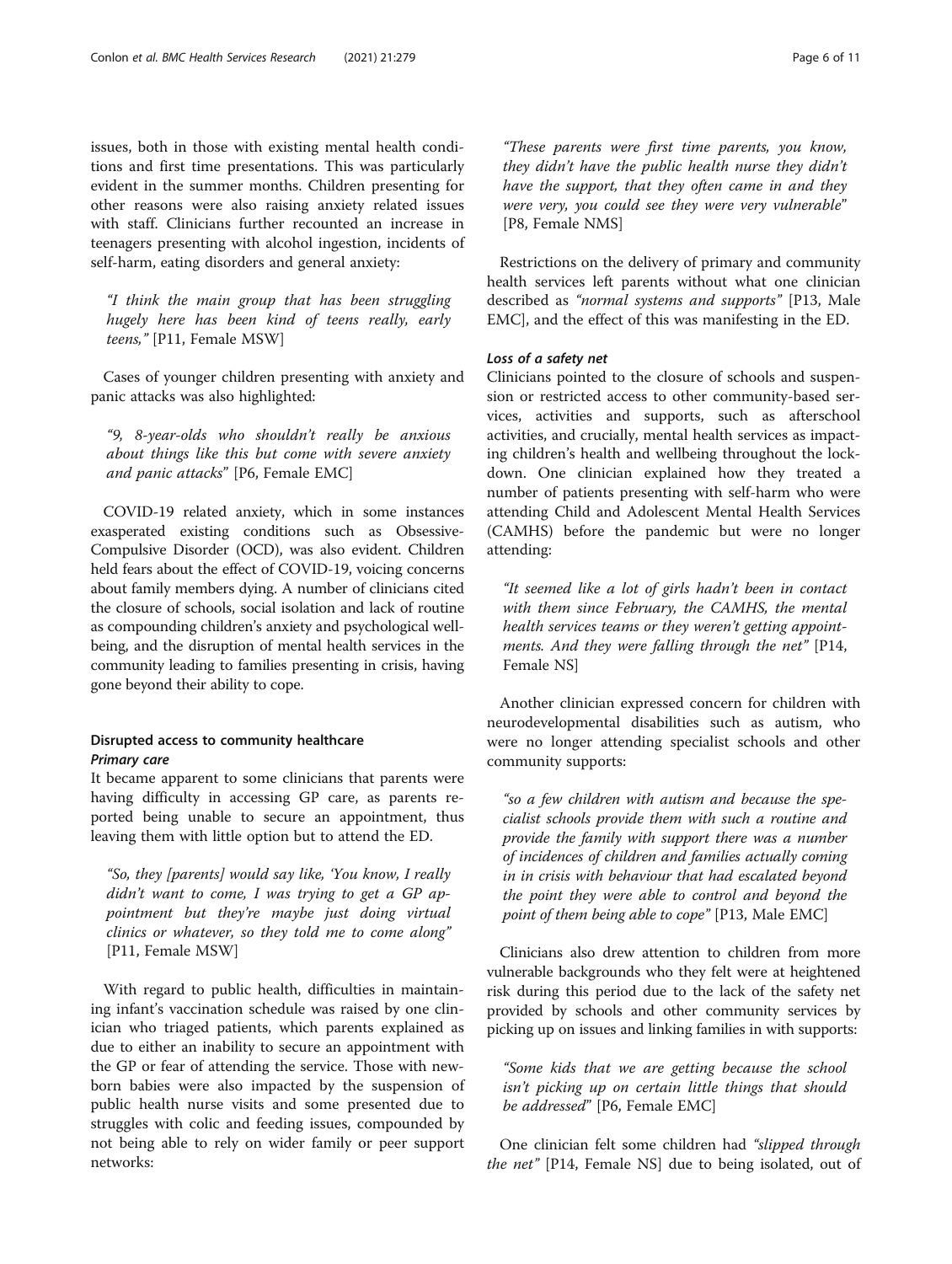issues, both in those with existing mental health conditions and first time presentations. This was particularly evident in the summer months. Children presenting for other reasons were also raising anxiety related issues with staff. Clinicians further recounted an increase in teenagers presenting with alcohol ingestion, incidents of self-harm, eating disorders and general anxiety:

"I think the main group that has been struggling hugely here has been kind of teens really, early teens," [P11, Female MSW]

Cases of younger children presenting with anxiety and panic attacks was also highlighted:

"9, 8-year-olds who shouldn't really be anxious about things like this but come with severe anxiety and panic attacks" [P6, Female EMC]

COVID-19 related anxiety, which in some instances exasperated existing conditions such as Obsessive-Compulsive Disorder (OCD), was also evident. Children held fears about the effect of COVID-19, voicing concerns about family members dying. A number of clinicians cited the closure of schools, social isolation and lack of routine as compounding children's anxiety and psychological wellbeing, and the disruption of mental health services in the community leading to families presenting in crisis, having gone beyond their ability to cope.

## Disrupted access to community healthcare Primary care

It became apparent to some clinicians that parents were having difficulty in accessing GP care, as parents reported being unable to secure an appointment, thus leaving them with little option but to attend the ED.

"So, they [parents] would say like, 'You know, I really didn't want to come, I was trying to get a GP appointment but they're maybe just doing virtual clinics or whatever, so they told me to come along" [P11, Female MSW]

With regard to public health, difficulties in maintaining infant's vaccination schedule was raised by one clinician who triaged patients, which parents explained as due to either an inability to secure an appointment with the GP or fear of attending the service. Those with newborn babies were also impacted by the suspension of public health nurse visits and some presented due to struggles with colic and feeding issues, compounded by not being able to rely on wider family or peer support networks:

"These parents were first time parents, you know, they didn't have the public health nurse they didn't have the support, that they often came in and they were very, you could see they were very vulnerable" [P8, Female NMS]

Restrictions on the delivery of primary and community health services left parents without what one clinician described as "normal systems and supports" [P13, Male EMC], and the effect of this was manifesting in the ED.

### Loss of a safety net

Clinicians pointed to the closure of schools and suspension or restricted access to other community-based services, activities and supports, such as afterschool activities, and crucially, mental health services as impacting children's health and wellbeing throughout the lockdown. One clinician explained how they treated a number of patients presenting with self-harm who were attending Child and Adolescent Mental Health Services (CAMHS) before the pandemic but were no longer attending:

"It seemed like a lot of girls hadn't been in contact with them since February, the CAMHS, the mental health services teams or they weren't getting appointments. And they were falling through the net" [P14, Female NS]

Another clinician expressed concern for children with neurodevelopmental disabilities such as autism, who were no longer attending specialist schools and other community supports:

"so a few children with autism and because the specialist schools provide them with such a routine and provide the family with support there was a number of incidences of children and families actually coming in in crisis with behaviour that had escalated beyond the point they were able to control and beyond the point of them being able to cope" [P13, Male EMC]

Clinicians also drew attention to children from more vulnerable backgrounds who they felt were at heightened risk during this period due to the lack of the safety net provided by schools and other community services by picking up on issues and linking families in with supports:

"Some kids that we are getting because the school isn't picking up on certain little things that should be addressed" [P6, Female EMC]

One clinician felt some children had "slipped through the net" [P14, Female NS] due to being isolated, out of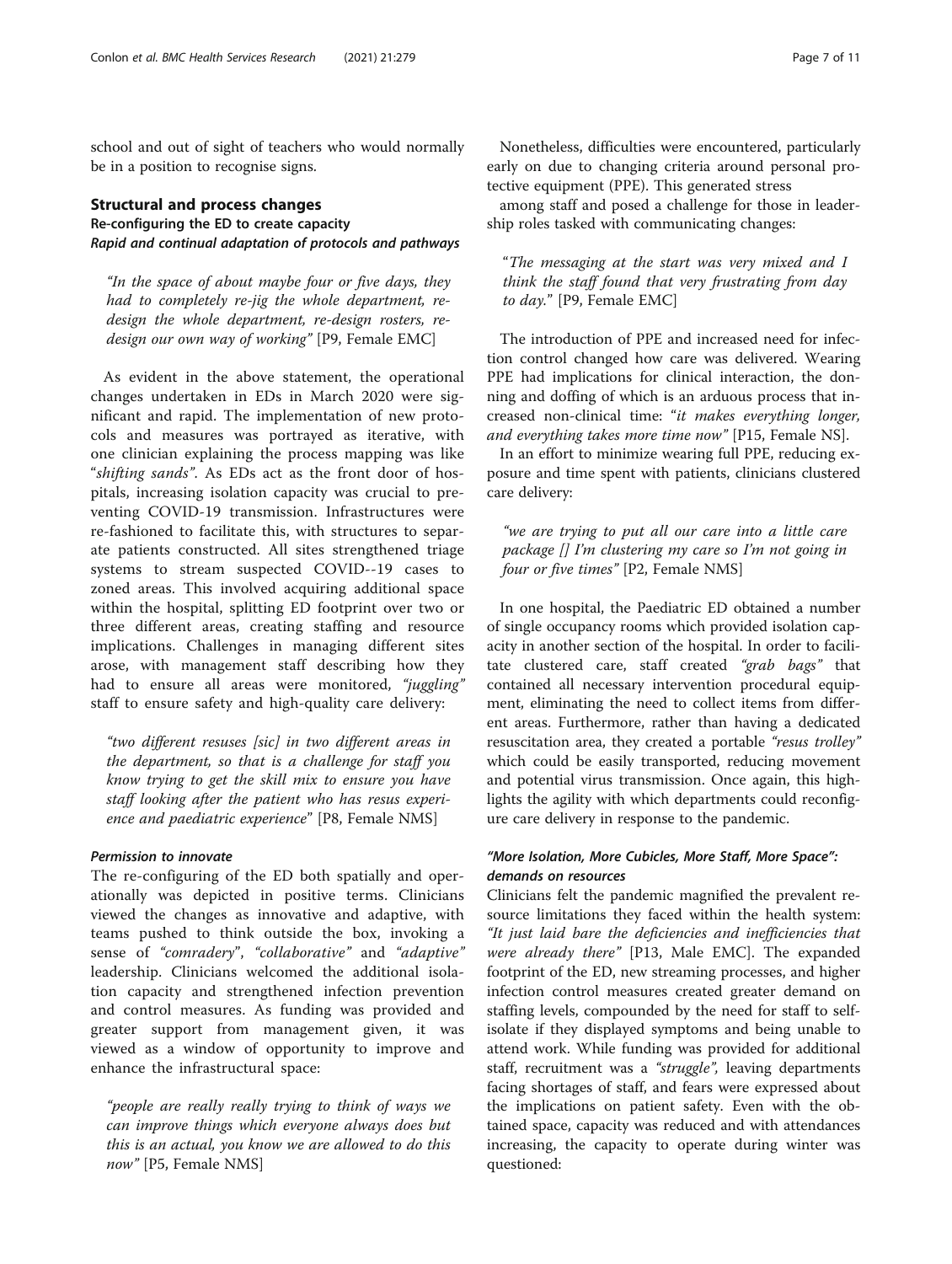school and out of sight of teachers who would normally be in a position to recognise signs.

# Structural and process changes Re-configuring the ED to create capacity Rapid and continual adaptation of protocols and pathways

"In the space of about maybe four or five days, they had to completely re-jig the whole department, redesign the whole department, re-design rosters, redesign our own way of working" [P9, Female EMC]

As evident in the above statement, the operational changes undertaken in EDs in March 2020 were significant and rapid. The implementation of new protocols and measures was portrayed as iterative, with one clinician explaining the process mapping was like "shifting sands". As EDs act as the front door of hospitals, increasing isolation capacity was crucial to preventing COVID-19 transmission. Infrastructures were re-fashioned to facilitate this, with structures to separate patients constructed. All sites strengthened triage systems to stream suspected COVID--19 cases to zoned areas. This involved acquiring additional space within the hospital, splitting ED footprint over two or three different areas, creating staffing and resource implications. Challenges in managing different sites arose, with management staff describing how they had to ensure all areas were monitored, "juggling" staff to ensure safety and high-quality care delivery:

"two different resuses [sic] in two different areas in the department, so that is a challenge for staff you know trying to get the skill mix to ensure you have staff looking after the patient who has resus experience and paediatric experience" [P8, Female NMS]

### Permission to innovate

The re-configuring of the ED both spatially and operationally was depicted in positive terms. Clinicians viewed the changes as innovative and adaptive, with teams pushed to think outside the box, invoking a sense of "comradery", "collaborative" and "adaptive" leadership. Clinicians welcomed the additional isolation capacity and strengthened infection prevention and control measures. As funding was provided and greater support from management given, it was viewed as a window of opportunity to improve and enhance the infrastructural space:

"people are really really trying to think of ways we can improve things which everyone always does but this is an actual, you know we are allowed to do this now" [P5, Female NMS]

Nonetheless, difficulties were encountered, particularly early on due to changing criteria around personal protective equipment (PPE). This generated stress

among staff and posed a challenge for those in leadership roles tasked with communicating changes:

"The messaging at the start was very mixed and I think the staff found that very frustrating from day to day." [P9, Female EMC]

The introduction of PPE and increased need for infection control changed how care was delivered. Wearing PPE had implications for clinical interaction, the donning and doffing of which is an arduous process that increased non-clinical time: "it makes everything longer, and everything takes more time now" [P15, Female NS].

In an effort to minimize wearing full PPE, reducing exposure and time spent with patients, clinicians clustered care delivery:

"we are trying to put all our care into a little care package [] I'm clustering my care so I'm not going in four or five times" [P2, Female NMS]

In one hospital, the Paediatric ED obtained a number of single occupancy rooms which provided isolation capacity in another section of the hospital. In order to facilitate clustered care, staff created "grab bags" that contained all necessary intervention procedural equipment, eliminating the need to collect items from different areas. Furthermore, rather than having a dedicated resuscitation area, they created a portable "resus trolley" which could be easily transported, reducing movement and potential virus transmission. Once again, this highlights the agility with which departments could reconfigure care delivery in response to the pandemic.

# "More Isolation, More Cubicles, More Staff, More Space": demands on resources

Clinicians felt the pandemic magnified the prevalent resource limitations they faced within the health system: "It just laid bare the deficiencies and inefficiencies that were already there" [P13, Male EMC]. The expanded footprint of the ED, new streaming processes, and higher infection control measures created greater demand on staffing levels, compounded by the need for staff to selfisolate if they displayed symptoms and being unable to attend work. While funding was provided for additional staff, recruitment was a "struggle", leaving departments facing shortages of staff, and fears were expressed about the implications on patient safety. Even with the obtained space, capacity was reduced and with attendances increasing, the capacity to operate during winter was questioned: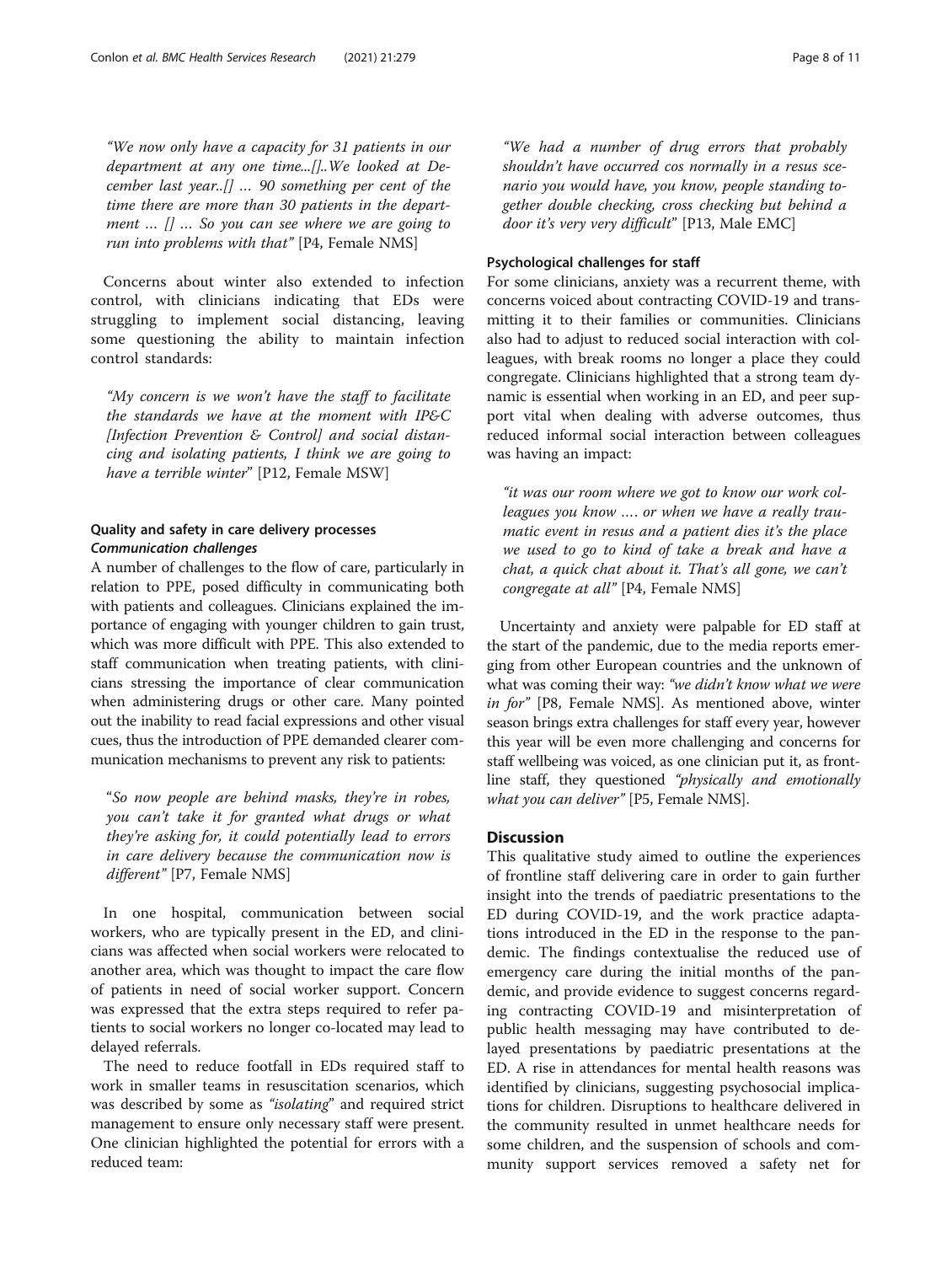"We now only have a capacity for 31 patients in our department at any one time...[]..We looked at December last year..[] … 90 something per cent of the time there are more than 30 patients in the department  $\ldots$   $\lceil \rceil$   $\ldots$  So you can see where we are going to run into problems with that" [P4, Female NMS]

Concerns about winter also extended to infection control, with clinicians indicating that EDs were struggling to implement social distancing, leaving some questioning the ability to maintain infection control standards:

"My concern is we won't have the staff to facilitate the standards we have at the moment with IP&C [Infection Prevention & Control] and social distancing and isolating patients, I think we are going to have a terrible winter" [P12, Female MSW]

### Quality and safety in care delivery processes Communication challenges

A number of challenges to the flow of care, particularly in relation to PPE, posed difficulty in communicating both with patients and colleagues. Clinicians explained the importance of engaging with younger children to gain trust, which was more difficult with PPE. This also extended to staff communication when treating patients, with clinicians stressing the importance of clear communication when administering drugs or other care. Many pointed out the inability to read facial expressions and other visual cues, thus the introduction of PPE demanded clearer communication mechanisms to prevent any risk to patients:

"So now people are behind masks, they're in robes, you can't take it for granted what drugs or what they're asking for, it could potentially lead to errors in care delivery because the communication now is different" [P7, Female NMS]

In one hospital, communication between social workers, who are typically present in the ED, and clinicians was affected when social workers were relocated to another area, which was thought to impact the care flow of patients in need of social worker support. Concern was expressed that the extra steps required to refer patients to social workers no longer co-located may lead to delayed referrals.

The need to reduce footfall in EDs required staff to work in smaller teams in resuscitation scenarios, which was described by some as "isolating" and required strict management to ensure only necessary staff were present. One clinician highlighted the potential for errors with a reduced team:

"We had a number of drug errors that probably shouldn't have occurred cos normally in a resus scenario you would have, you know, people standing together double checking, cross checking but behind a door it's very very difficult" [P13, Male EMC]

### Psychological challenges for staff

For some clinicians, anxiety was a recurrent theme, with concerns voiced about contracting COVID-19 and transmitting it to their families or communities. Clinicians also had to adjust to reduced social interaction with colleagues, with break rooms no longer a place they could congregate. Clinicians highlighted that a strong team dynamic is essential when working in an ED, and peer support vital when dealing with adverse outcomes, thus reduced informal social interaction between colleagues was having an impact:

"it was our room where we got to know our work colleagues you know …. or when we have a really traumatic event in resus and a patient dies it's the place we used to go to kind of take a break and have a chat, a quick chat about it. That's all gone, we can't congregate at all" [P4, Female NMS]

Uncertainty and anxiety were palpable for ED staff at the start of the pandemic, due to the media reports emerging from other European countries and the unknown of what was coming their way: "we didn't know what we were in for" [P8, Female NMS]. As mentioned above, winter season brings extra challenges for staff every year, however this year will be even more challenging and concerns for staff wellbeing was voiced, as one clinician put it, as frontline staff, they questioned "physically and emotionally what you can deliver" [P5, Female NMS].

### **Discussion**

This qualitative study aimed to outline the experiences of frontline staff delivering care in order to gain further insight into the trends of paediatric presentations to the ED during COVID-19, and the work practice adaptations introduced in the ED in the response to the pandemic. The findings contextualise the reduced use of emergency care during the initial months of the pandemic, and provide evidence to suggest concerns regarding contracting COVID-19 and misinterpretation of public health messaging may have contributed to delayed presentations by paediatric presentations at the ED. A rise in attendances for mental health reasons was identified by clinicians, suggesting psychosocial implications for children. Disruptions to healthcare delivered in the community resulted in unmet healthcare needs for some children, and the suspension of schools and community support services removed a safety net for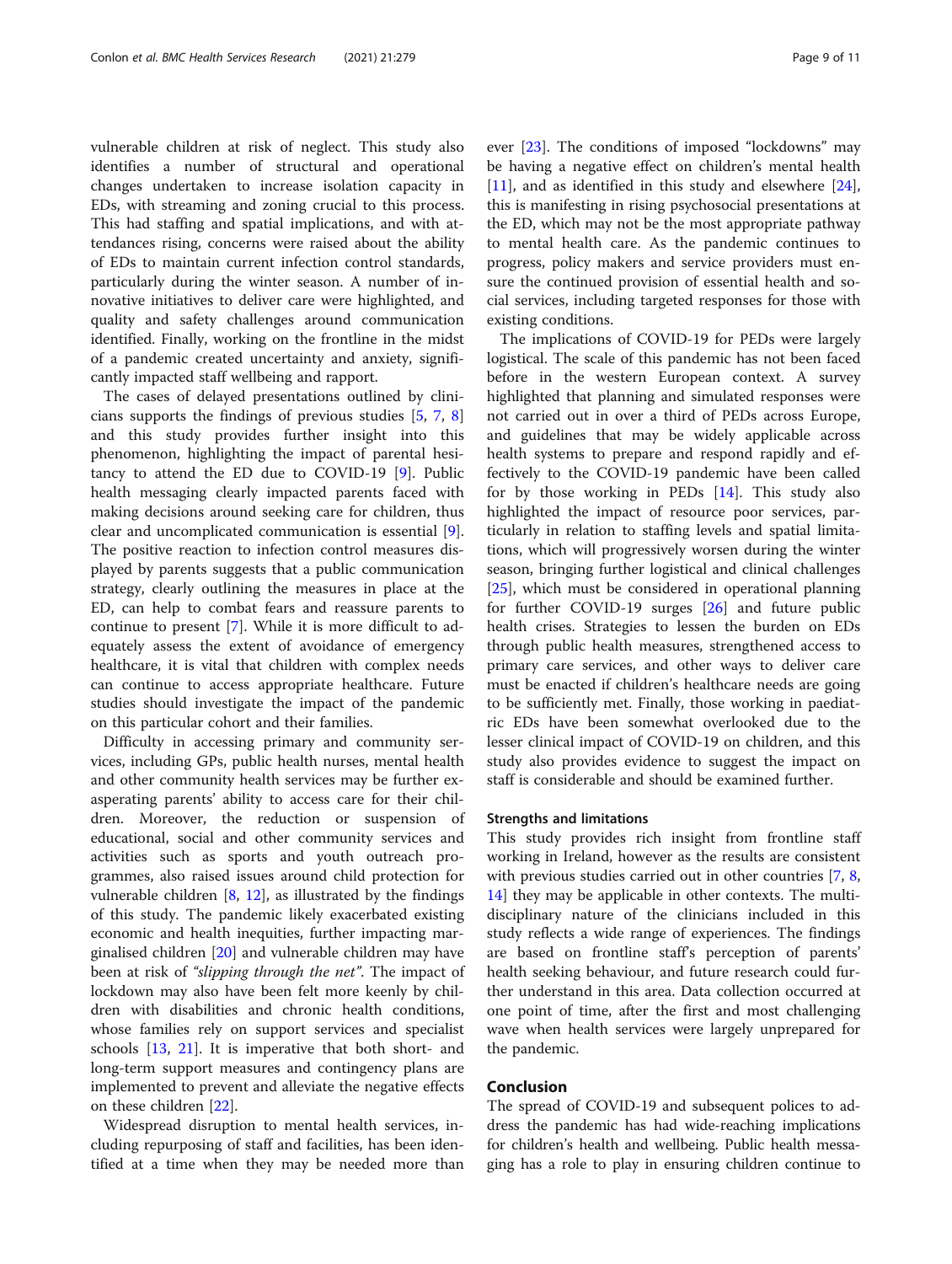vulnerable children at risk of neglect. This study also identifies a number of structural and operational changes undertaken to increase isolation capacity in EDs, with streaming and zoning crucial to this process. This had staffing and spatial implications, and with attendances rising, concerns were raised about the ability of EDs to maintain current infection control standards, particularly during the winter season. A number of innovative initiatives to deliver care were highlighted, and quality and safety challenges around communication identified. Finally, working on the frontline in the midst of a pandemic created uncertainty and anxiety, significantly impacted staff wellbeing and rapport.

The cases of delayed presentations outlined by clinicians supports the findings of previous studies [5, 7, 8] and this study provides further insight into this phenomenon, highlighting the impact of parental hesitancy to attend the ED due to COVID-19 [9]. Public health messaging clearly impacted parents faced with making decisions around seeking care for children, thus clear and uncomplicated communication is essential [9]. The positive reaction to infection control measures displayed by parents suggests that a public communication strategy, clearly outlining the measures in place at the ED, can help to combat fears and reassure parents to continue to present [7]. While it is more difficult to adequately assess the extent of avoidance of emergency healthcare, it is vital that children with complex needs can continue to access appropriate healthcare. Future studies should investigate the impact of the pandemic on this particular cohort and their families.

Difficulty in accessing primary and community services, including GPs, public health nurses, mental health and other community health services may be further exasperating parents' ability to access care for their children. Moreover, the reduction or suspension of educational, social and other community services and activities such as sports and youth outreach programmes, also raised issues around child protection for vulnerable children  $[8, 12]$ , as illustrated by the findings of this study. The pandemic likely exacerbated existing economic and health inequities, further impacting marginalised children [20] and vulnerable children may have been at risk of *"slipping through the net"*. The impact of lockdown may also have been felt more keenly by children with disabilities and chronic health conditions, whose families rely on support services and specialist schools [13, 21]. It is imperative that both short- and long-term support measures and contingency plans are implemented to prevent and alleviate the negative effects on these children [22].

Widespread disruption to mental health services, including repurposing of staff and facilities, has been identified at a time when they may be needed more than ever [23]. The conditions of imposed "lockdowns" may be having a negative effect on children's mental health [11], and as identified in this study and elsewhere [24], this is manifesting in rising psychosocial presentations at the ED, which may not be the most appropriate pathway to mental health care. As the pandemic continues to progress, policy makers and service providers must ensure the continued provision of essential health and social services, including targeted responses for those with existing conditions.

The implications of COVID-19 for PEDs were largely logistical. The scale of this pandemic has not been faced before in the western European context. A survey highlighted that planning and simulated responses were not carried out in over a third of PEDs across Europe, and guidelines that may be widely applicable across health systems to prepare and respond rapidly and effectively to the COVID-19 pandemic have been called for by those working in PEDs  $[14]$ . This study also highlighted the impact of resource poor services, particularly in relation to staffing levels and spatial limitations, which will progressively worsen during the winter season, bringing further logistical and clinical challenges [25], which must be considered in operational planning for further COVID-19 surges [26] and future public health crises. Strategies to lessen the burden on EDs through public health measures, strengthened access to primary care services, and other ways to deliver care must be enacted if children's healthcare needs are going to be sufficiently met. Finally, those working in paediatric EDs have been somewhat overlooked due to the lesser clinical impact of COVID-19 on children, and this study also provides evidence to suggest the impact on staff is considerable and should be examined further.

### Strengths and limitations

This study provides rich insight from frontline staff working in Ireland, however as the results are consistent with previous studies carried out in other countries [7, 8, 14] they may be applicable in other contexts. The multidisciplinary nature of the clinicians included in this study reflects a wide range of experiences. The findings are based on frontline staff's perception of parents' health seeking behaviour, and future research could further understand in this area. Data collection occurred at one point of time, after the first and most challenging wave when health services were largely unprepared for the pandemic.

### Conclusion

The spread of COVID-19 and subsequent polices to address the pandemic has had wide-reaching implications for children's health and wellbeing. Public health messaging has a role to play in ensuring children continue to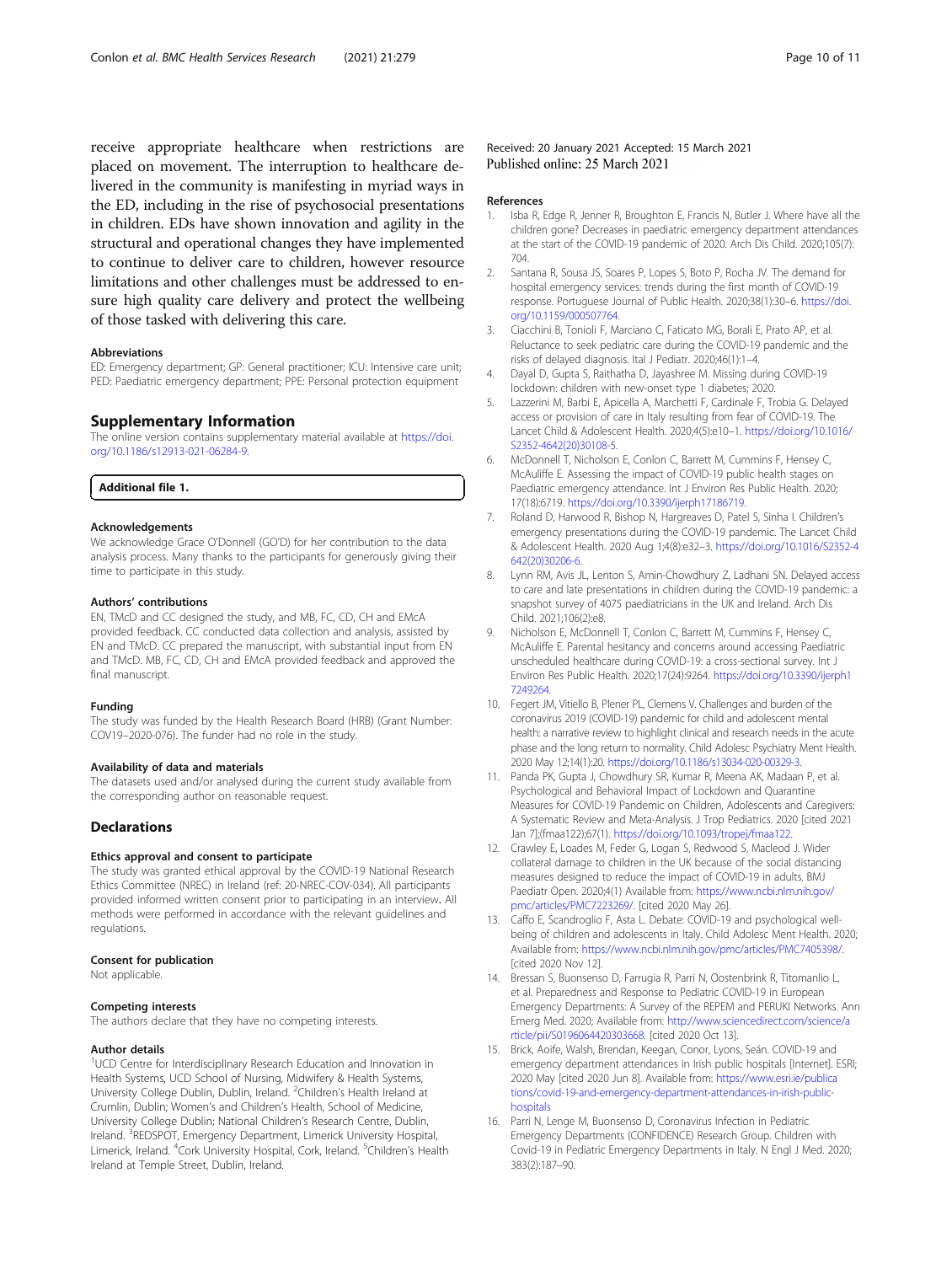receive appropriate healthcare when restrictions are placed on movement. The interruption to healthcare delivered in the community is manifesting in myriad ways in the ED, including in the rise of psychosocial presentations in children. EDs have shown innovation and agility in the structural and operational changes they have implemented to continue to deliver care to children, however resource limitations and other challenges must be addressed to ensure high quality care delivery and protect the wellbeing of those tasked with delivering this care.

#### Abbreviations

ED: Emergency department; GP: General practitioner; ICU: Intensive care unit; PED: Paediatric emergency department; PPE: Personal protection equipment

### Supplementary Information

The online version contains supplementary material available at [https://doi.](https://doi.org/10.1186/s12913-021-06284-9) [org/10.1186/s12913-021-06284-9.](https://doi.org/10.1186/s12913-021-06284-9)

#### Additional file 1.

### Acknowledgements

We acknowledge Grace O'Donnell (GO'D) for her contribution to the data analysis process. Many thanks to the participants for generously giving their time to participate in this study.

#### Authors' contributions

EN, TMcD and CC designed the study, and MB, FC, CD, CH and EMcA provided feedback. CC conducted data collection and analysis, assisted by EN and TMcD. CC prepared the manuscript, with substantial input from EN and TMcD. MB, FC, CD, CH and EMcA provided feedback and approved the final manuscript.

#### Funding

The study was funded by the Health Research Board (HRB) (Grant Number: COV19–2020-076). The funder had no role in the study.

#### Availability of data and materials

The datasets used and/or analysed during the current study available from the corresponding author on reasonable request.

### **Declarations**

### Ethics approval and consent to participate

The study was granted ethical approval by the COVID-19 National Research Ethics Committee (NREC) in Ireland (ref: 20-NREC-COV-034). All participants provided informed written consent prior to participating in an interview. All methods were performed in accordance with the relevant guidelines and regulations.

#### Consent for publication

Not applicable.

#### Competing interests

The authors declare that they have no competing interests.

#### Author details

<sup>1</sup>UCD Centre for Interdisciplinary Research Education and Innovation in Health Systems, UCD School of Nursing, Midwifery & Health Systems, University College Dublin, Dublin, Ireland. <sup>2</sup>Children's Health Ireland at Crumlin, Dublin; Women's and Children's Health, School of Medicine, University College Dublin; National Children's Research Centre, Dublin, Ireland. <sup>3</sup>REDSPOT, Emergency Department, Limerick University Hospital, Limerick, Ireland. <sup>4</sup>Cork University Hospital, Cork, Ireland. <sup>5</sup>Children's Health Ireland at Temple Street, Dublin, Ireland.

### Received: 20 January 2021 Accepted: 15 March 2021 Published online: 25 March 2021

#### References

- 1. Isba R, Edge R, Jenner R, Broughton E, Francis N, Butler J. Where have all the children gone? Decreases in paediatric emergency department attendances at the start of the COVID-19 pandemic of 2020. Arch Dis Child. 2020;105(7): 704.
- 2. Santana R, Sousa JS, Soares P, Lopes S, Boto P, Rocha JV. The demand for hospital emergency services: trends during the first month of COVID-19 response. Portuguese Journal of Public Health. 2020;38(1):30–6. [https://doi.](https://doi.org/10.1159/000507764) [org/10.1159/000507764.](https://doi.org/10.1159/000507764)
- 3. Ciacchini B, Tonioli F, Marciano C, Faticato MG, Borali E, Prato AP, et al. Reluctance to seek pediatric care during the COVID-19 pandemic and the risks of delayed diagnosis. Ital J Pediatr. 2020;46(1):1–4.
- 4. Dayal D, Gupta S, Raithatha D, Jayashree M. Missing during COVID-19 lockdown: children with new-onset type 1 diabetes; 2020.
- 5. Lazzerini M, Barbi E, Apicella A, Marchetti F, Cardinale F, Trobia G. Delayed access or provision of care in Italy resulting from fear of COVID-19. The Lancet Child & Adolescent Health. 2020;4(5):e10–1. [https://doi.org/10.1016/](https://doi.org/10.1016/S2352-4642(20)30108-5) [S2352-4642\(20\)30108-5](https://doi.org/10.1016/S2352-4642(20)30108-5).
- 6. McDonnell T, Nicholson E, Conlon C, Barrett M, Cummins F, Hensey C, McAuliffe E. Assessing the impact of COVID-19 public health stages on Paediatric emergency attendance. Int J Environ Res Public Health. 2020; 17(18):6719. [https://doi.org/10.3390/ijerph17186719.](https://doi.org/10.3390/ijerph17186719)
- 7. Roland D, Harwood R, Bishop N, Hargreaves D, Patel S, Sinha I. Children's emergency presentations during the COVID-19 pandemic. The Lancet Child & Adolescent Health. 2020 Aug 1;4(8):e32–3. [https://doi.org/10.1016/S2352-4](https://doi.org/10.1016/S2352-4642(20)30206-6) [642\(20\)30206-6](https://doi.org/10.1016/S2352-4642(20)30206-6).
- 8. Lynn RM, Avis JL, Lenton S, Amin-Chowdhury Z, Ladhani SN. Delayed access to care and late presentations in children during the COVID-19 pandemic: a snapshot survey of 4075 paediatricians in the UK and Ireland. Arch Dis Child. 2021;106(2):e8.
- 9. Nicholson E, McDonnell T, Conlon C, Barrett M, Cummins F, Hensey C, McAuliffe E. Parental hesitancy and concerns around accessing Paediatric unscheduled healthcare during COVID-19: a cross-sectional survey. Int J Environ Res Public Health. 2020;17(24):9264. [https://doi.org/10.3390/ijerph1](https://doi.org/10.3390/ijerph17249264) [7249264.](https://doi.org/10.3390/ijerph17249264)
- 10. Fegert JM, Vitiello B, Plener PL, Clemens V. Challenges and burden of the coronavirus 2019 (COVID-19) pandemic for child and adolescent mental health: a narrative review to highlight clinical and research needs in the acute phase and the long return to normality. Child Adolesc Psychiatry Ment Health. 2020 May 12;14(1):20. <https://doi.org/10.1186/s13034-020-00329-3>.
- 11. Panda PK, Gupta J, Chowdhury SR, Kumar R, Meena AK, Madaan P, et al. Psychological and Behavioral Impact of Lockdown and Quarantine Measures for COVID-19 Pandemic on Children, Adolescents and Caregivers: A Systematic Review and Meta-Analysis. J Trop Pediatrics. 2020 [cited 2021 Jan 7];(fmaa122);67(1). [https://doi.org/10.1093/tropej/fmaa122.](https://doi.org/10.1093/tropej/fmaa122)
- 12. Crawley E, Loades M, Feder G, Logan S, Redwood S, Macleod J. Wider collateral damage to children in the UK because of the social distancing measures designed to reduce the impact of COVID-19 in adults. BMJ Paediatr Open. 2020;4(1) Available from: [https://www.ncbi.nlm.nih.gov/](https://www.ncbi.nlm.nih.gov/pmc/articles/PMC7223269/) [pmc/articles/PMC7223269/](https://www.ncbi.nlm.nih.gov/pmc/articles/PMC7223269/). [cited 2020 May 26].
- 13. Caffo E, Scandroglio F, Asta L. Debate: COVID-19 and psychological wellbeing of children and adolescents in Italy. Child Adolesc Ment Health. 2020; Available from: <https://www.ncbi.nlm.nih.gov/pmc/articles/PMC7405398/>. [cited 2020 Nov 12].
- 14. Bressan S, Buonsenso D, Farrugia R, Parri N, Oostenbrink R, Titomanlio L, et al. Preparedness and Response to Pediatric COVID-19 in European Emergency Departments: A Survey of the REPEM and PERUKI Networks. Ann Emerg Med. 2020; Available from: [http://www.sciencedirect.com/science/a](http://www.sciencedirect.com/science/article/pii/S0196064420303668) [rticle/pii/S0196064420303668](http://www.sciencedirect.com/science/article/pii/S0196064420303668). [cited 2020 Oct 13].
- 15. Brick, Aoife, Walsh, Brendan, Keegan, Conor, Lyons, Seán. COVID-19 and emergency department attendances in Irish public hospitals [Internet]. ESRI; 2020 May [cited 2020 Jun 8]. Available from: [https://www.esri.ie/publica](https://www.esri.ie/publications/covid-19-and-emergency-department-attendances-in-irish-public-hospitals) [tions/covid-19-and-emergency-department-attendances-in-irish-public](https://www.esri.ie/publications/covid-19-and-emergency-department-attendances-in-irish-public-hospitals)[hospitals](https://www.esri.ie/publications/covid-19-and-emergency-department-attendances-in-irish-public-hospitals)
- 16. Parri N, Lenge M, Buonsenso D, Coronavirus Infection in Pediatric Emergency Departments (CONFIDENCE) Research Group. Children with Covid-19 in Pediatric Emergency Departments in Italy. N Engl J Med. 2020; 383(2):187–90.